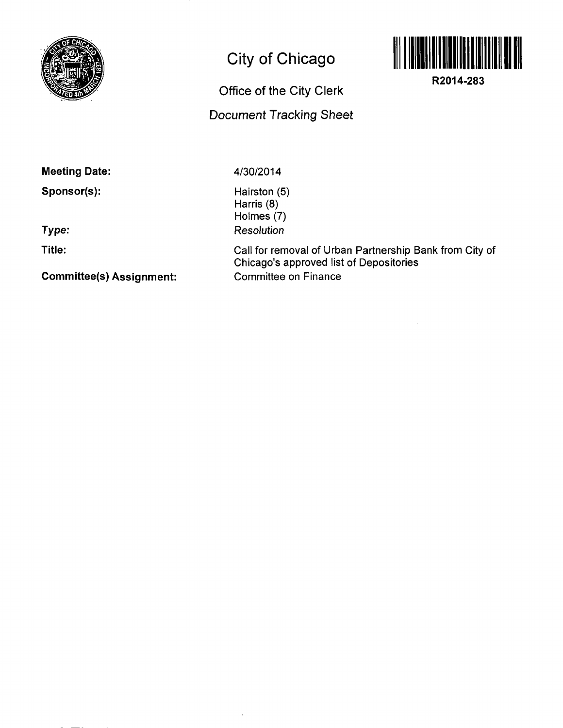

## **City of Chicago**

**Office of the City Clerk** 

**Document Tracking Sheet** 



**R2014-283** 

**Meeting Date:** 

**Sponsor(s):** 

**Type:** 

**Title:** 

**Committee(s) Assignment:** 

**4/30/2014** 

Hairston (5) Harris (8) Holmes (7) **Resolution** 

Call for removal of Urban Partnership Bank from City of Chicago's approved list of Depositories Committee on Finance